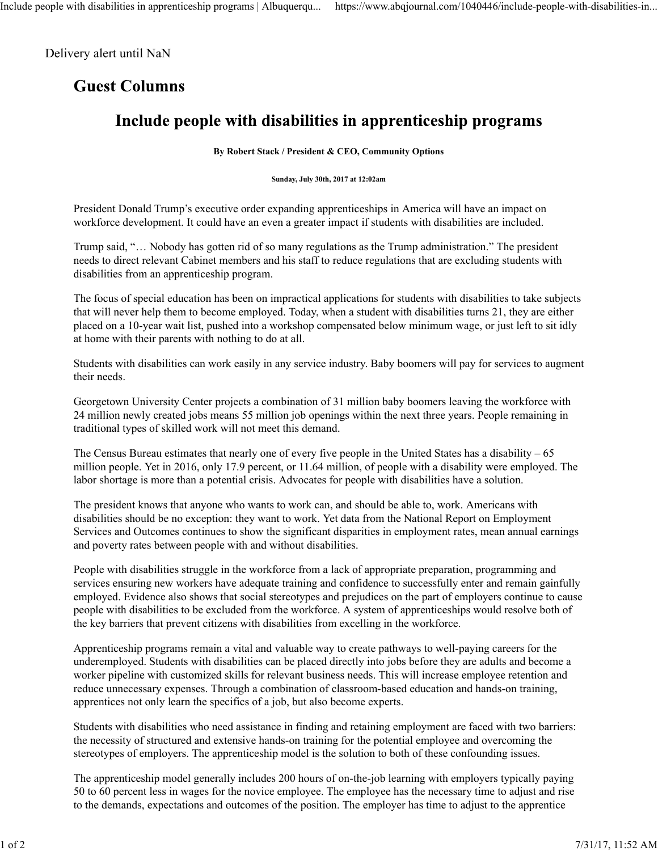## Delivery alert until NaN

## **Guest Columns**

## Include people with disabilities in apprenticeship programs

**By Robert Stack / President & CEO, Community Options**

**Sunday, July 30th, 2017 at 12:02am**

President Donald Trump's executive order expanding apprenticeships in America will have an impact on workforce development. It could have an even a greater impact if students with disabilities are included.

Trump said, "… Nobody has gotten rid of so many regulations as the Trump administration." The president needs to direct relevant Cabinet members and his staff to reduce regulations that are excluding students with disabilities from an apprenticeship program.

The focus of special education has been on impractical applications for students with disabilities to take subjects that will never help them to become employed. Today, when a student with disabilities turns 21, they are either placed on a 10-year wait list, pushed into a workshop compensated below minimum wage, or just left to sit idly at home with their parents with nothing to do at all.

Students with disabilities can work easily in any service industry. Baby boomers will pay for services to augment their needs.

Georgetown University Center projects a combination of 31 million baby boomers leaving the workforce with 24 million newly created jobs means 55 million job openings within the next three years. People remaining in traditional types of skilled work will not meet this demand.

The Census Bureau estimates that nearly one of every five people in the United States has a disability – 65 million people. Yet in 2016, only 17.9 percent, or 11.64 million, of people with a disability were employed. The labor shortage is more than a potential crisis. Advocates for people with disabilities have a solution.

The president knows that anyone who wants to work can, and should be able to, work. Americans with disabilities should be no exception: they want to work. Yet data from the National Report on Employment Services and Outcomes continues to show the significant disparities in employment rates, mean annual earnings and poverty rates between people with and without disabilities.

People with disabilities struggle in the workforce from a lack of appropriate preparation, programming and services ensuring new workers have adequate training and confidence to successfully enter and remain gainfully employed. Evidence also shows that social stereotypes and prejudices on the part of employers continue to cause people with disabilities to be excluded from the workforce. A system of apprenticeships would resolve both of the key barriers that prevent citizens with disabilities from excelling in the workforce.

Apprenticeship programs remain a vital and valuable way to create pathways to well-paying careers for the underemployed. Students with disabilities can be placed directly into jobs before they are adults and become a worker pipeline with customized skills for relevant business needs. This will increase employee retention and reduce unnecessary expenses. Through a combination of classroom-based education and hands-on training, apprentices not only learn the specifics of a job, but also become experts.

Students with disabilities who need assistance in finding and retaining employment are faced with two barriers: the necessity of structured and extensive hands-on training for the potential employee and overcoming the stereotypes of employers. The apprenticeship model is the solution to both of these confounding issues.

The apprenticeship model generally includes 200 hours of on-the-job learning with employers typically paying 50 to 60 percent less in wages for the novice employee. The employee has the necessary time to adjust and rise to the demands, expectations and outcomes of the position. The employer has time to adjust to the apprentice